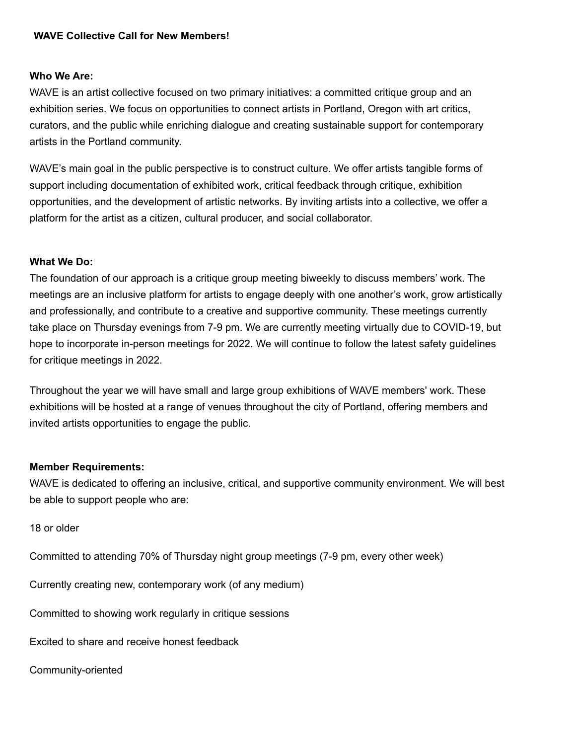# **WAVE Collective Call for New Members!**

#### **Who We Are:**

WAVE is an artist collective focused on two primary initiatives: a committed critique group and an exhibition series. We focus on opportunities to connect artists in Portland, Oregon with art critics, curators, and the public while enriching dialogue and creating sustainable support for contemporary artists in the Portland community.

WAVE's main goal in the public perspective is to construct culture. We offer artists tangible forms of support including documentation of exhibited work, critical feedback through critique, exhibition opportunities, and the development of artistic networks. By inviting artists into a collective, we offer a platform for the artist as a citizen, cultural producer, and social collaborator.

#### **What We Do:**

The foundation of our approach is a critique group meeting biweekly to discuss members' work. The meetings are an inclusive platform for artists to engage deeply with one another's work, grow artistically and professionally, and contribute to a creative and supportive community. These meetings currently take place on Thursday evenings from 7-9 pm. We are currently meeting virtually due to COVID-19, but hope to incorporate in-person meetings for 2022. We will continue to follow the latest safety guidelines for critique meetings in 2022.

Throughout the year we will have small and large group exhibitions of WAVE members' work. These exhibitions will be hosted at a range of venues throughout the city of Portland, offering members and invited artists opportunities to engage the public.

#### **Member Requirements:**

WAVE is dedicated to offering an inclusive, critical, and supportive community environment. We will best be able to support people who are:

18 or older

Committed to attending 70% of Thursday night group meetings (7-9 pm, every other week)

Currently creating new, contemporary work (of any medium)

Committed to showing work regularly in critique sessions

Excited to share and receive honest feedback

Community-oriented